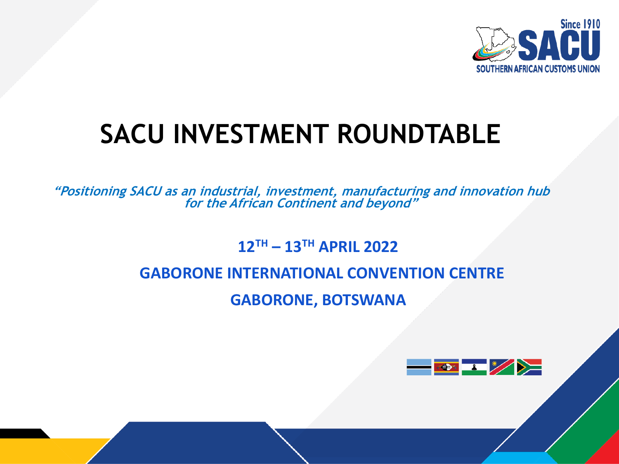

## **SACU INVESTMENT ROUNDTABLE**

**"Positioning SACU as an industrial, investment, manufacturing and innovation hub for the African Continent and beyond"**

**12TH – 13TH APRIL 2022**

#### **GABORONE INTERNATIONAL CONVENTION CENTRE**

**GABORONE, BOTSWANA**

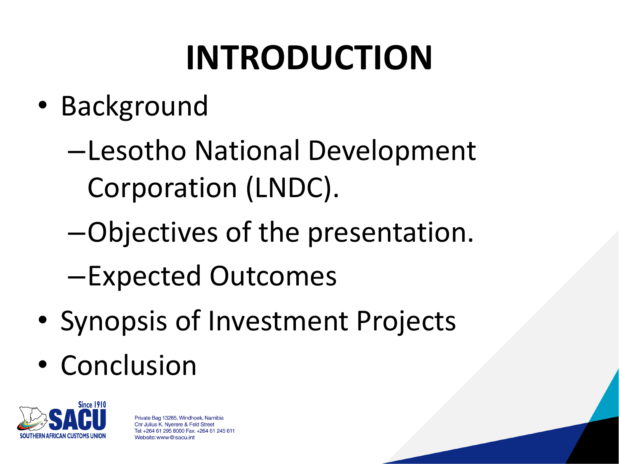# **INTRODUCTION**

- Background
	- –Lesotho National Development Corporation (LNDC).
	- –Objectives of the presentation.
	- –Expected Outcomes
- Synopsis of Investment Projects
- Conclusion

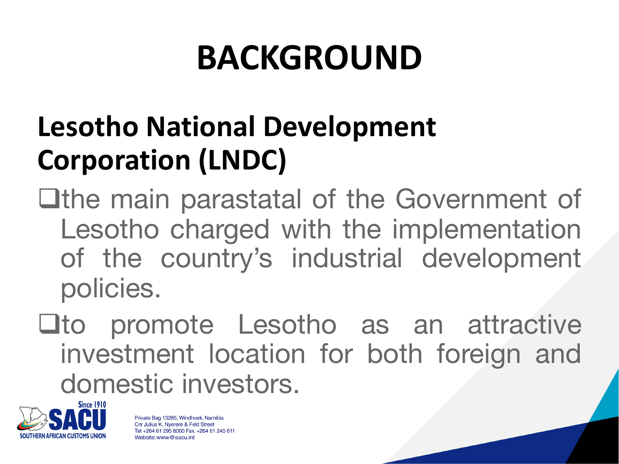# **BACKGROUND**

## **Lesotho National Development Corporation (LNDC)**

**Qthe main parastatal of the Government of** Lesotho charged with the implementation of the country's industrial development policies.

 $\square$ to promote Lesotho as an attractive investment location for both foreign and domestic investors.

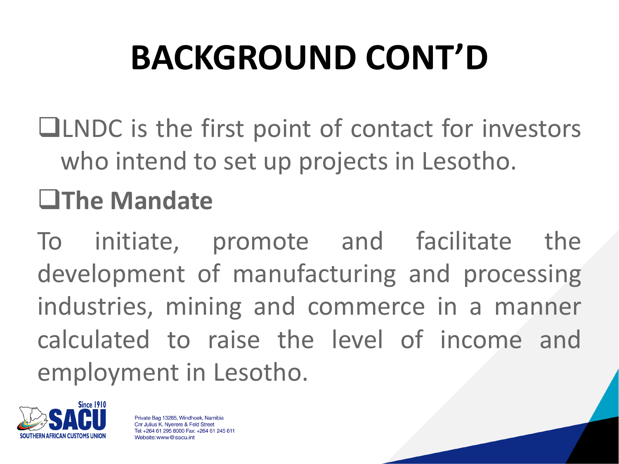# **BACKGROUND CONT'D**

 $\Box$ LNDC is the first point of contact for investors who intend to set up projects in Lesotho.

## q**The Mandate**

To initiate, promote and facilitate the development of manufacturing and processing industries, mining and commerce in a manner calculated to raise the level of income and employment in Lesotho.

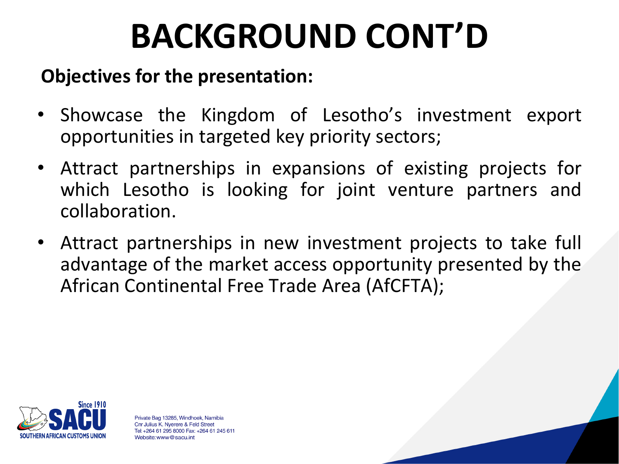# **BACKGROUND CONT'D**

#### **Objectives for the presentation:**

- Showcase the Kingdom of Lesotho's investment export opportunities in targeted key priority sectors;
- Attract partnerships in expansions of existing projects for which Lesotho is looking for joint venture partners and collaboration.
- Attract partnerships in new investment projects to take full advantage of the market access opportunity presented by the African Continental Free Trade Area (AfCFTA);

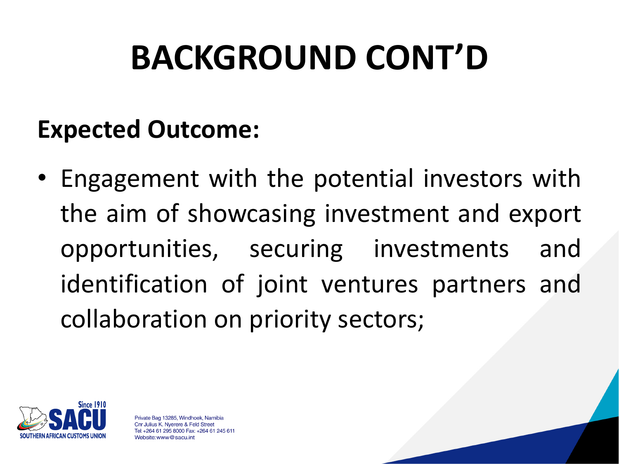# **BACKGROUND CONT'D**

### **Expected Outcome:**

• Engagement with the potential investors with the aim of showcasing investment and export opportunities, securing investments and identification of joint ventures partners and collaboration on priority sectors;

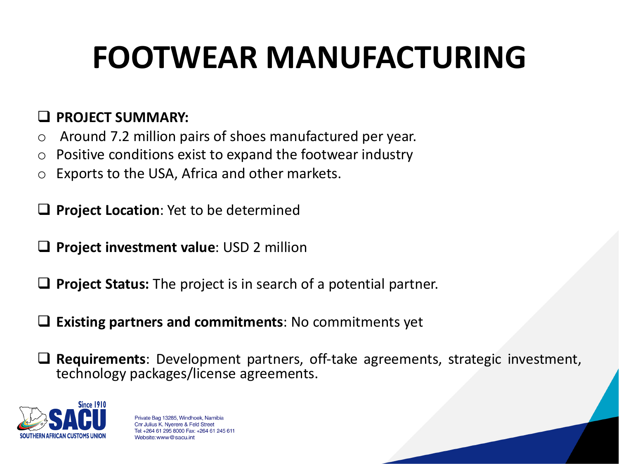## **FOOTWEAR MANUFACTURING**

#### q **PROJECT SUMMARY:**

- o Around 7.2 million pairs of shoes manufactured per year.
- $\circ$  Positive conditions exist to expand the footwear industry
- o Exports to the USA, Africa and other markets.

**Project Location:** Yet to be determined

- q **Project investment value**: USD 2 million
- **Project Status:** The project is in search of a potential partner.
- q **Existing partners and commitments**: No commitments yet

□ Requirements: Development partners, off-take agreements, strategic investment, technology packages/license agreements.

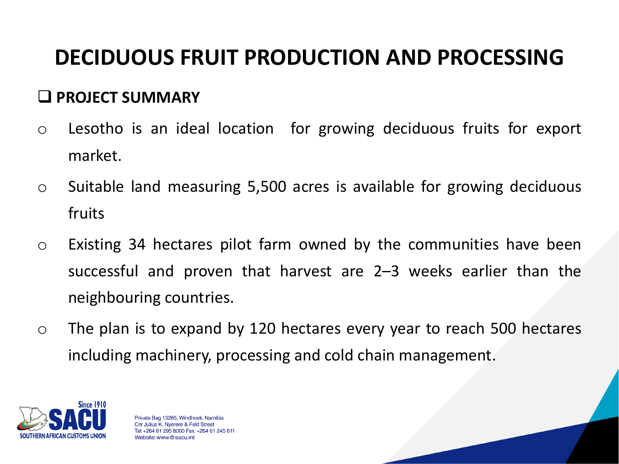### **DECIDUOUS FRUIT PRODUCTION AND PROCESSING**

#### q **PROJECT SUMMARY**

- o Lesotho is an ideal location for growing deciduous fruits for export market.
- o Suitable land measuring 5,500 acres is available for growing deciduous fruits
- o Existing 34 hectares pilot farm owned by the communities have been successful and proven that harvest are 2–3 weeks earlier than the neighbouring countries.
- o The plan is to expand by 120 hectares every year to reach 500 hectares including machinery, processing and cold chain management.

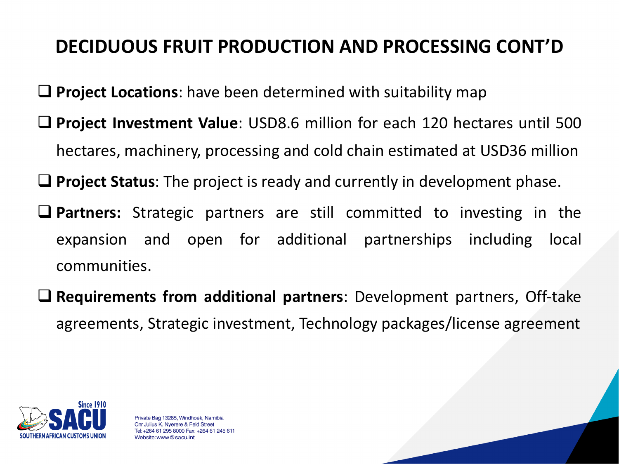#### **DECIDUOUS FRUIT PRODUCTION AND PROCESSING CONT'D**

- **□ Project Locations**: have been determined with suitability map
- **□ Project Investment Value**: USD8.6 million for each 120 hectares until 500 hectares, machinery, processing and cold chain estimated at USD36 million
- **Q Project Status**: The project is ready and currently in development phase.
- **Q Partners:** Strategic partners are still committed to investing in the expansion and open for additional partnerships including local communities.
- q **Requirements from additional partners**: Development partners, Off-take agreements, Strategic investment, Technology packages/license agreement

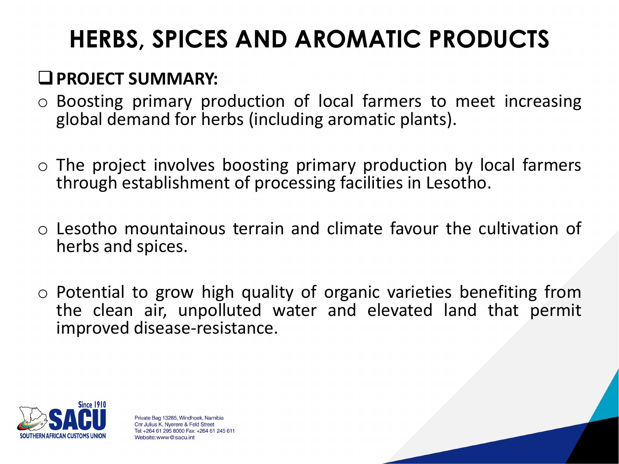### **HERBS, SPICES AND AROMATIC PRODUCTS**

#### **Q** PROJECT SUMMARY:

- o Boosting primary production of local farmers to meet increasing global demand for herbs (including aromatic plants).
- o The project involves boosting primary production by local farmers through establishment of processing facilities in Lesotho.
- o Lesotho mountainous terrain and climate favour the cultivation of herbs and spices.
- $\circ$  Potential to grow high quality of organic varieties benefiting from the clean air, unpolluted water and elevated land that permit improved disease-resistance.

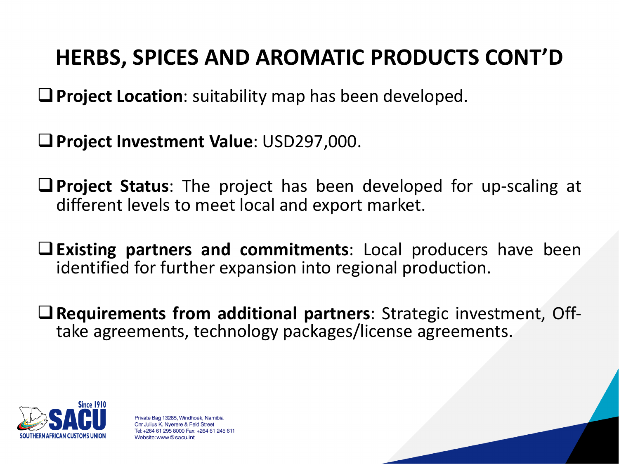### **HERBS, SPICES AND AROMATIC PRODUCTS CONT'D**

**Q** Project Location: suitability map has been developed.

q**Project Investment Value**: USD297,000.

**Q** Project Status: The project has been developed for up-scaling at different levels to meet local and export market.

q**Existing partners and commitments**: Local producers have been identified for further expansion into regional production.

<sup>q</sup>**Requirements from additional partners**: Strategic investment, Off- take agreements, technology packages/license agreements.

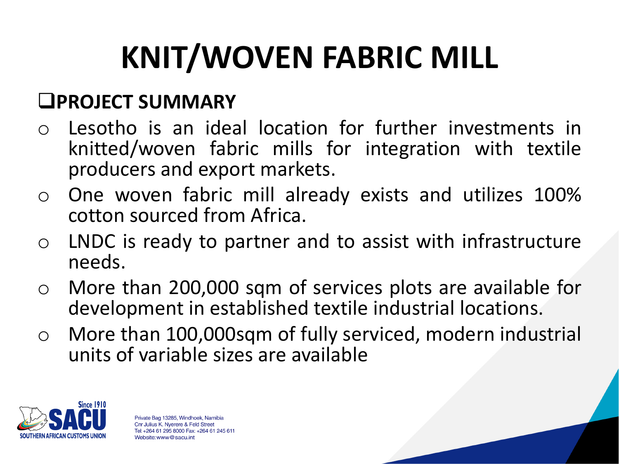# **KNIT/WOVEN FABRIC MILL**

#### q**PROJECT SUMMARY**

- o Lesotho is an ideal location for further investments in knitted/woven fabric mills for integration with textile producers and export markets.
- o One woven fabric mill already exists and utilizes 100% cotton sourced from Africa.
- o LNDC is ready to partner and to assist with infrastructure needs.
- o More than 200,000 sqm of services plots are available for development in established textile industrial locations.
- o More than 100,000sqm of fully serviced, modern industrial units of variable sizes are available

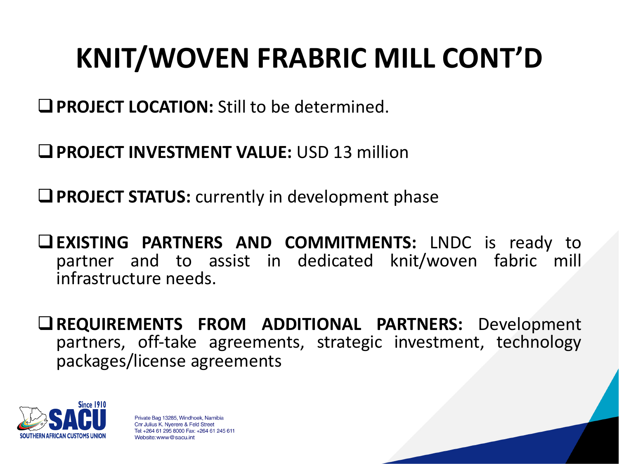## **KNIT/WOVEN FRABRIC MILL CONT'D**

**QPROJECT LOCATION:** Still to be determined.

q**PROJECT INVESTMENT VALUE:** USD 13 million

**Q PROJECT STATUS:** currently in development phase

q**EXISTING PARTNERS AND COMMITMENTS:** LNDC is ready to partner and to assist in dedicated knit/woven fabric mill infrastructure needs.

q**REQUIREMENTS FROM ADDITIONAL PARTNERS:** Development partners, off-take agreements, strategic investment, technology packages/license agreements

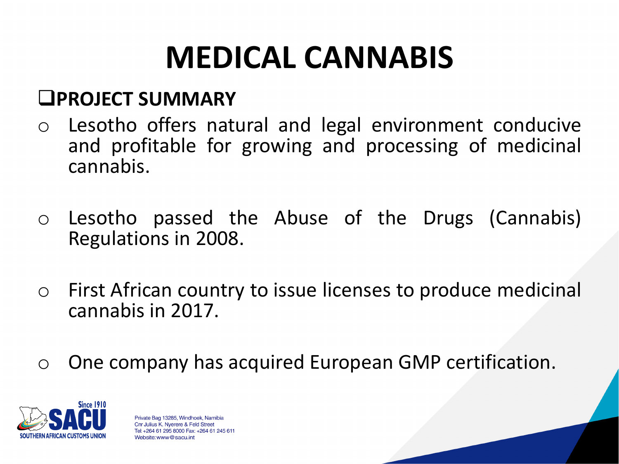## **MEDICAL CANNABIS**

#### q**PROJECT SUMMARY**

- o Lesotho offers natural and legal environment conducive and profitable for growing and processing of medicinal cannabis.
- o Lesotho passed the Abuse of the Drugs (Cannabis) Regulations in 2008.
- o First African country to issue licenses to produce medicinal cannabis in 2017.
- o One company has acquired European GMP certification.

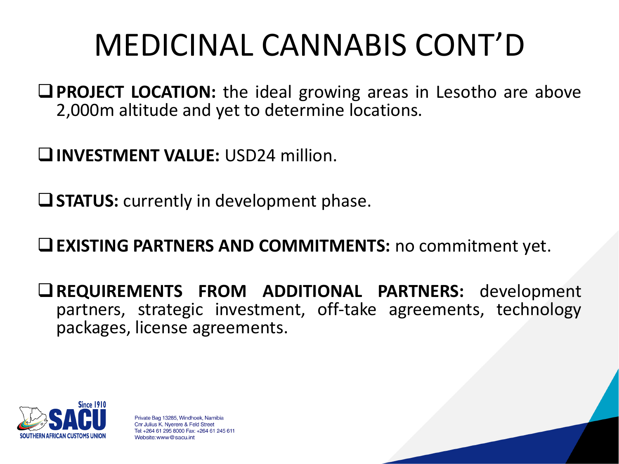## MEDICINAL CANNABIS CONT'D

**QPROJECT LOCATION:** the ideal growing areas in Lesotho are above 2,000m altitude and yet to determine locations.

q**INVESTMENT VALUE:** USD24 million.

**Q STATUS:** currently in development phase.

q**EXISTING PARTNERS AND COMMITMENTS:** no commitment yet.

q**REQUIREMENTS FROM ADDITIONAL PARTNERS:** development partners, strategic investment, off-take agreements, technology packages, license agreements.